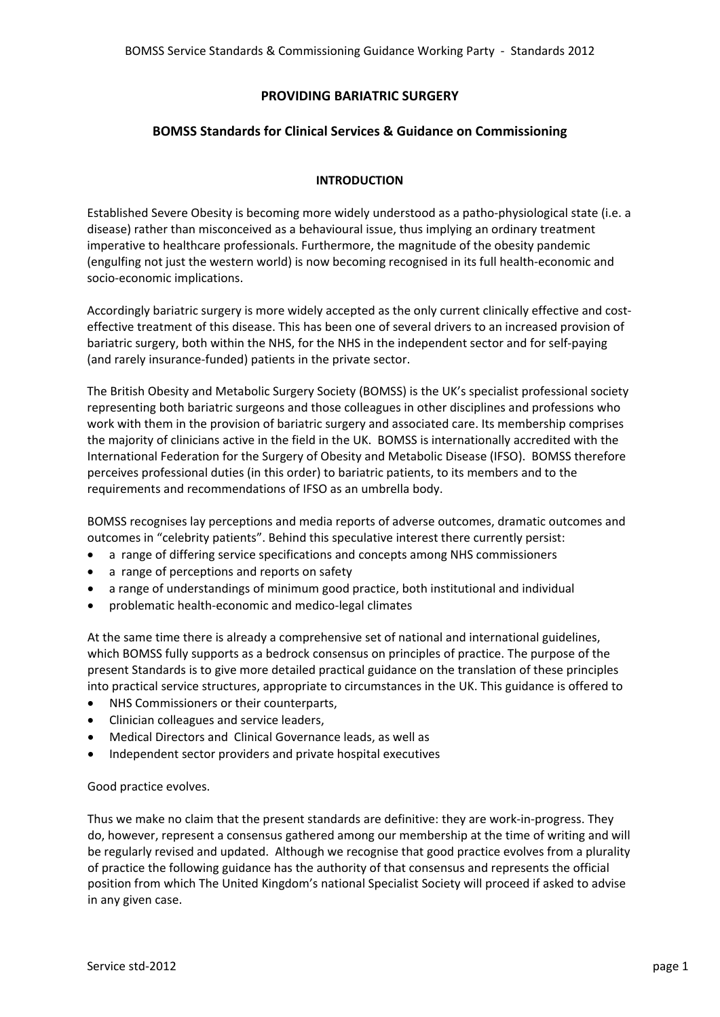# **PROVIDING BARIATRIC SURGERY**

# **BOMSS Standards for Clinical Services & Guidance on Commissioning**

## **INTRODUCTION**

Established Severe Obesity is becoming more widely understood as a patho‐physiological state (i.e. a disease) rather than misconceived as a behavioural issue, thus implying an ordinary treatment imperative to healthcare professionals. Furthermore, the magnitude of the obesity pandemic (engulfing not just the western world) is now becoming recognised in its full health‐economic and socio‐economic implications.

Accordingly bariatric surgery is more widely accepted as the only current clinically effective and cost‐ effective treatment of this disease. This has been one of several drivers to an increased provision of bariatric surgery, both within the NHS, for the NHS in the independent sector and for self‐paying (and rarely insurance‐funded) patients in the private sector.

The British Obesity and Metabolic Surgery Society (BOMSS) is the UK's specialist professional society representing both bariatric surgeons and those colleagues in other disciplines and professions who work with them in the provision of bariatric surgery and associated care. Its membership comprises the majority of clinicians active in the field in the UK. BOMSS is internationally accredited with the International Federation for the Surgery of Obesity and Metabolic Disease (IFSO). BOMSS therefore perceives professional duties (in this order) to bariatric patients, to its members and to the requirements and recommendations of IFSO as an umbrella body.

BOMSS recognises lay perceptions and media reports of adverse outcomes, dramatic outcomes and outcomes in "celebrity patients". Behind this speculative interest there currently persist:

- a range of differing service specifications and concepts among NHS commissioners
- a range of perceptions and reports on safety
- a range of understandings of minimum good practice, both institutional and individual
- problematic health‐economic and medico‐legal climates

At the same time there is already a comprehensive set of national and international guidelines, which BOMSS fully supports as a bedrock consensus on principles of practice. The purpose of the present Standards is to give more detailed practical guidance on the translation of these principles into practical service structures, appropriate to circumstances in the UK. This guidance is offered to

- NHS Commissioners or their counterparts,
- Clinician colleagues and service leaders,
- Medical Directors and Clinical Governance leads, as well as
- Independent sector providers and private hospital executives

Good practice evolves.

Thus we make no claim that the present standards are definitive: they are work‐in‐progress. They do, however, represent a consensus gathered among our membership at the time of writing and will be regularly revised and updated. Although we recognise that good practice evolves from a plurality of practice the following guidance has the authority of that consensus and represents the official position from which The United Kingdom's national Specialist Society will proceed if asked to advise in any given case.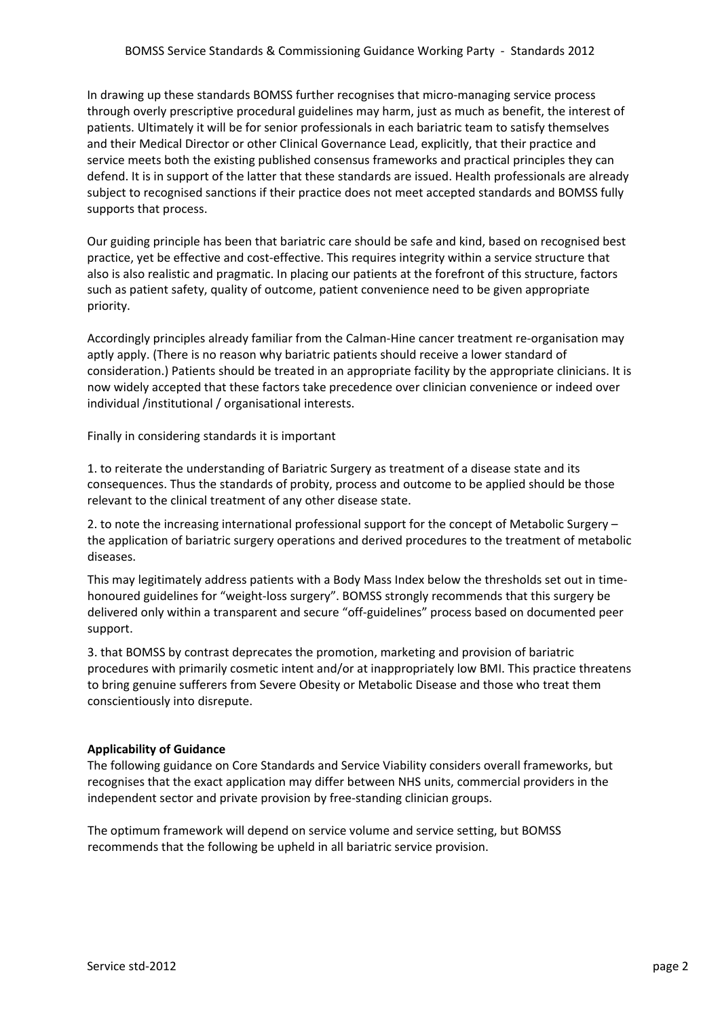In drawing up these standards BOMSS further recognises that micro-managing service process through overly prescriptive procedural guidelines may harm, just as much as benefit, the interest of patients. Ultimately it will be for senior professionals in each bariatric team to satisfy themselves and their Medical Director or other Clinical Governance Lead, explicitly, that their practice and service meets both the existing published consensus frameworks and practical principles they can defend. It is in support of the latter that these standards are issued. Health professionals are already subject to recognised sanctions if their practice does not meet accepted standards and BOMSS fully supports that process.

Our guiding principle has been that bariatric care should be safe and kind, based on recognised best practice, yet be effective and cost‐effective. This requires integrity within a service structure that also is also realistic and pragmatic. In placing our patients at the forefront of this structure, factors such as patient safety, quality of outcome, patient convenience need to be given appropriate priority.

Accordingly principles already familiar from the Calman‐Hine cancer treatment re‐organisation may aptly apply. (There is no reason why bariatric patients should receive a lower standard of consideration.) Patients should be treated in an appropriate facility by the appropriate clinicians. It is now widely accepted that these factors take precedence over clinician convenience or indeed over individual /institutional / organisational interests.

Finally in considering standards it is important

1. to reiterate the understanding of Bariatric Surgery as treatment of a disease state and its consequences. Thus the standards of probity, process and outcome to be applied should be those relevant to the clinical treatment of any other disease state.

2. to note the increasing international professional support for the concept of Metabolic Surgery – the application of bariatric surgery operations and derived procedures to the treatment of metabolic diseases.

This may legitimately address patients with a Body Mass Index below the thresholds set out in time‐ honoured guidelines for "weight‐loss surgery". BOMSS strongly recommends that this surgery be delivered only within a transparent and secure "off‐guidelines" process based on documented peer support.

3. that BOMSS by contrast deprecates the promotion, marketing and provision of bariatric procedures with primarily cosmetic intent and/or at inappropriately low BMI. This practice threatens to bring genuine sufferers from Severe Obesity or Metabolic Disease and those who treat them conscientiously into disrepute.

# **Applicability of Guidance**

The following guidance on Core Standards and Service Viability considers overall frameworks, but recognises that the exact application may differ between NHS units, commercial providers in the independent sector and private provision by free‐standing clinician groups.

The optimum framework will depend on service volume and service setting, but BOMSS recommends that the following be upheld in all bariatric service provision.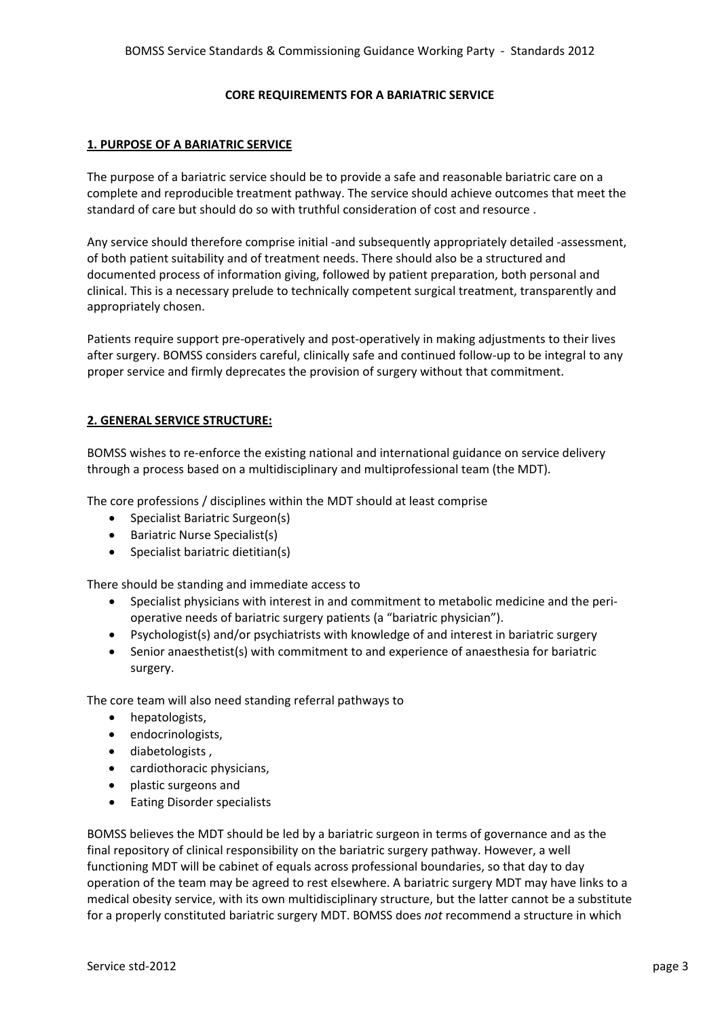### **CORE REQUIREMENTS FOR A BARIATRIC SERVICE**

### **1. PURPOSE OF A BARIATRIC SERVICE**

The purpose of a bariatric service should be to provide a safe and reasonable bariatric care on a complete and reproducible treatment pathway. The service should achieve outcomes that meet the standard of care but should do so with truthful consideration of cost and resource .

Any service should therefore comprise initial ‐and subsequently appropriately detailed ‐assessment, of both patient suitability and of treatment needs. There should also be a structured and documented process of information giving, followed by patient preparation, both personal and clinical. This is a necessary prelude to technically competent surgical treatment, transparently and appropriately chosen.

Patients require support pre‐operatively and post‐operatively in making adjustments to their lives after surgery. BOMSS considers careful, clinically safe and continued follow‐up to be integral to any proper service and firmly deprecates the provision of surgery without that commitment.

## **2. GENERAL SERVICE STRUCTURE:**

BOMSS wishes to re‐enforce the existing national and international guidance on service delivery through a process based on a multidisciplinary and multiprofessional team (the MDT).

The core professions / disciplines within the MDT should at least comprise

- Specialist Bariatric Surgeon(s)
- Bariatric Nurse Specialist(s)
- Specialist bariatric dietitian(s)

There should be standing and immediate access to

- Specialist physicians with interest in and commitment to metabolic medicine and the peri‐ operative needs of bariatric surgery patients (a "bariatric physician").
- Psychologist(s) and/or psychiatrists with knowledge of and interest in bariatric surgery
- Senior anaesthetist(s) with commitment to and experience of anaesthesia for bariatric surgery.

The core team will also need standing referral pathways to

- hepatologists,
- endocrinologists,
- diabetologists ,
- cardiothoracic physicians,
- plastic surgeons and
- Eating Disorder specialists

BOMSS believes the MDT should be led by a bariatric surgeon in terms of governance and as the final repository of clinical responsibility on the bariatric surgery pathway. However, a well functioning MDT will be cabinet of equals across professional boundaries, so that day to day operation of the team may be agreed to rest elsewhere. A bariatric surgery MDT may have links to a medical obesity service, with its own multidisciplinary structure, but the latter cannot be a substitute for a properly constituted bariatric surgery MDT. BOMSS does *not* recommend a structure in which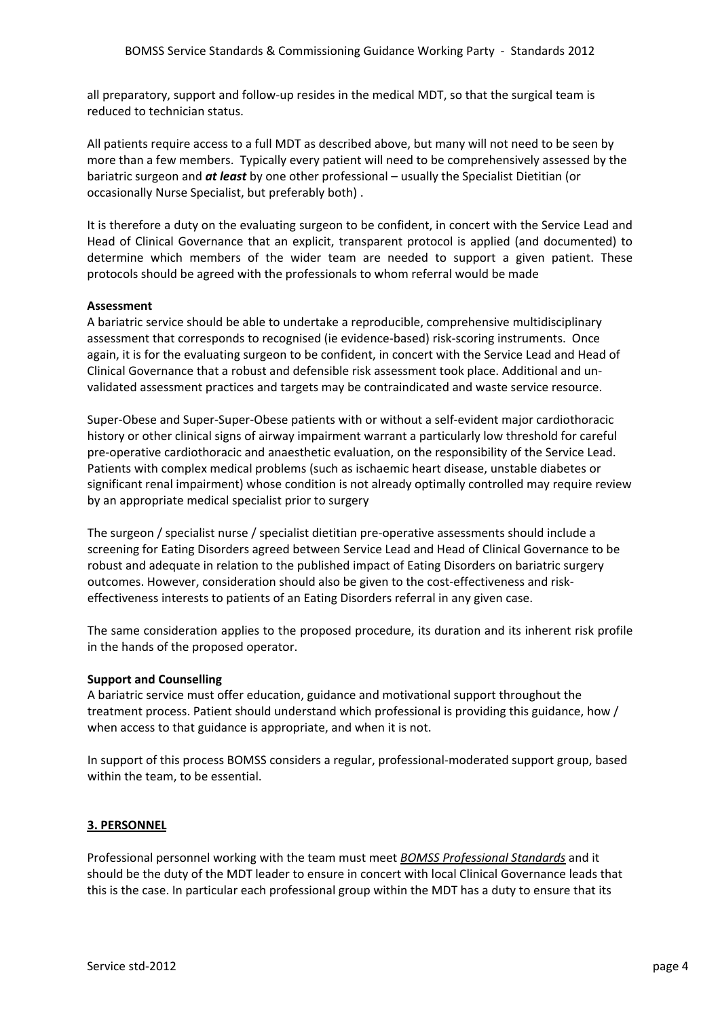all preparatory, support and follow‐up resides in the medical MDT, so that the surgical team is reduced to technician status.

All patients require access to a full MDT as described above, but many will not need to be seen by more than a few members. Typically every patient will need to be comprehensively assessed by the bariatric surgeon and *at least* by one other professional – usually the Specialist Dietitian (or occasionally Nurse Specialist, but preferably both) .

It is therefore a duty on the evaluating surgeon to be confident, in concert with the Service Lead and Head of Clinical Governance that an explicit, transparent protocol is applied (and documented) to determine which members of the wider team are needed to support a given patient. These protocols should be agreed with the professionals to whom referral would be made

## **Assessment**

A bariatric service should be able to undertake a reproducible, comprehensive multidisciplinary assessment that corresponds to recognised (ie evidence‐based) risk‐scoring instruments. Once again, it is for the evaluating surgeon to be confident, in concert with the Service Lead and Head of Clinical Governance that a robust and defensible risk assessment took place. Additional and un‐ validated assessment practices and targets may be contraindicated and waste service resource.

Super‐Obese and Super‐Super‐Obese patients with or without a self‐evident major cardiothoracic history or other clinical signs of airway impairment warrant a particularly low threshold for careful pre‐operative cardiothoracic and anaesthetic evaluation, on the responsibility of the Service Lead. Patients with complex medical problems (such as ischaemic heart disease, unstable diabetes or significant renal impairment) whose condition is not already optimally controlled may require review by an appropriate medical specialist prior to surgery

The surgeon / specialist nurse / specialist dietitian pre‐operative assessments should include a screening for Eating Disorders agreed between Service Lead and Head of Clinical Governance to be robust and adequate in relation to the published impact of Eating Disorders on bariatric surgery outcomes. However, consideration should also be given to the cost-effectiveness and riskeffectiveness interests to patients of an Eating Disorders referral in any given case.

The same consideration applies to the proposed procedure, its duration and its inherent risk profile in the hands of the proposed operator.

## **Support and Counselling**

A bariatric service must offer education, guidance and motivational support throughout the treatment process. Patient should understand which professional is providing this guidance, how / when access to that guidance is appropriate, and when it is not.

In support of this process BOMSS considers a regular, professional‐moderated support group, based within the team, to be essential.

## **3. PERSONNEL**

Professional personnel working with the team must meet *BOMSS Professional Standards* and it should be the duty of the MDT leader to ensure in concert with local Clinical Governance leads that this is the case. In particular each professional group within the MDT has a duty to ensure that its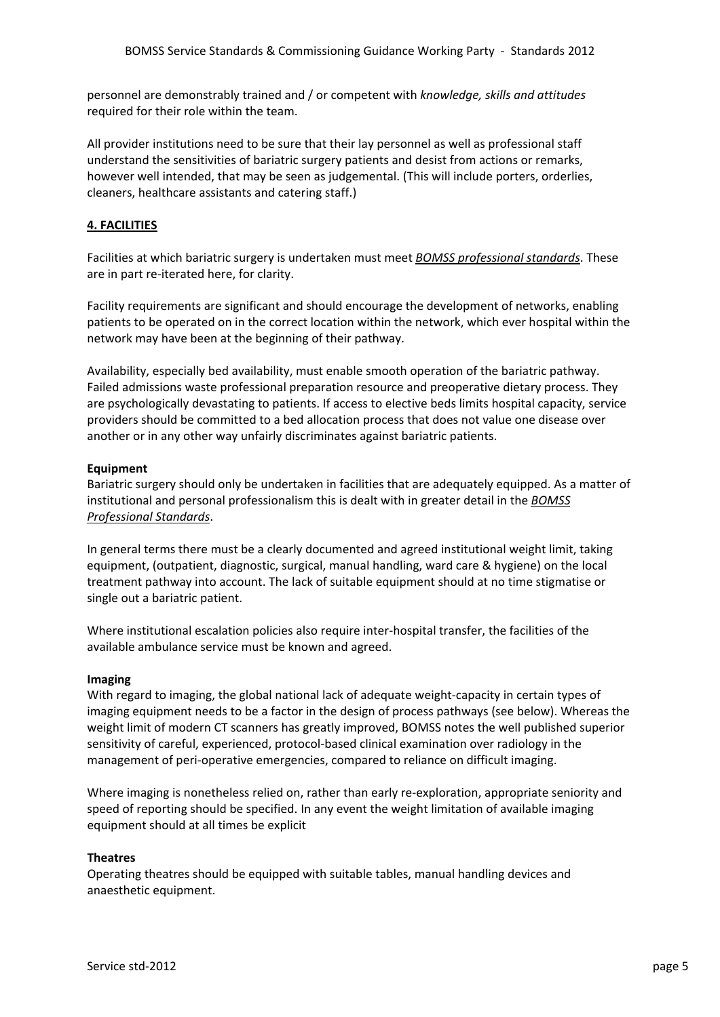personnel are demonstrably trained and / or competent with *knowledge, skills and attitudes* required for their role within the team.

All provider institutions need to be sure that their lay personnel as well as professional staff understand the sensitivities of bariatric surgery patients and desist from actions or remarks, however well intended, that may be seen as judgemental. (This will include porters, orderlies, cleaners, healthcare assistants and catering staff.)

## **4. FACILITIES**

Facilities at which bariatric surgery is undertaken must meet *BOMSS professional standards*. These are in part re‐iterated here, for clarity.

Facility requirements are significant and should encourage the development of networks, enabling patients to be operated on in the correct location within the network, which ever hospital within the network may have been at the beginning of their pathway.

Availability, especially bed availability, must enable smooth operation of the bariatric pathway. Failed admissions waste professional preparation resource and preoperative dietary process. They are psychologically devastating to patients. If access to elective beds limits hospital capacity, service providers should be committed to a bed allocation process that does not value one disease over another or in any other way unfairly discriminates against bariatric patients.

### **Equipment**

Bariatric surgery should only be undertaken in facilities that are adequately equipped. As a matter of institutional and personal professionalism this is dealt with in greater detail in the *BOMSS Professional Standards*.

In general terms there must be a clearly documented and agreed institutional weight limit, taking equipment, (outpatient, diagnostic, surgical, manual handling, ward care & hygiene) on the local treatment pathway into account. The lack of suitable equipment should at no time stigmatise or single out a bariatric patient.

Where institutional escalation policies also require inter‐hospital transfer, the facilities of the available ambulance service must be known and agreed.

### **Imaging**

With regard to imaging, the global national lack of adequate weight-capacity in certain types of imaging equipment needs to be a factor in the design of process pathways (see below). Whereas the weight limit of modern CT scanners has greatly improved, BOMSS notes the well published superior sensitivity of careful, experienced, protocol-based clinical examination over radiology in the management of peri-operative emergencies, compared to reliance on difficult imaging.

Where imaging is nonetheless relied on, rather than early re-exploration, appropriate seniority and speed of reporting should be specified. In any event the weight limitation of available imaging equipment should at all times be explicit

## **Theatres**

Operating theatres should be equipped with suitable tables, manual handling devices and anaesthetic equipment.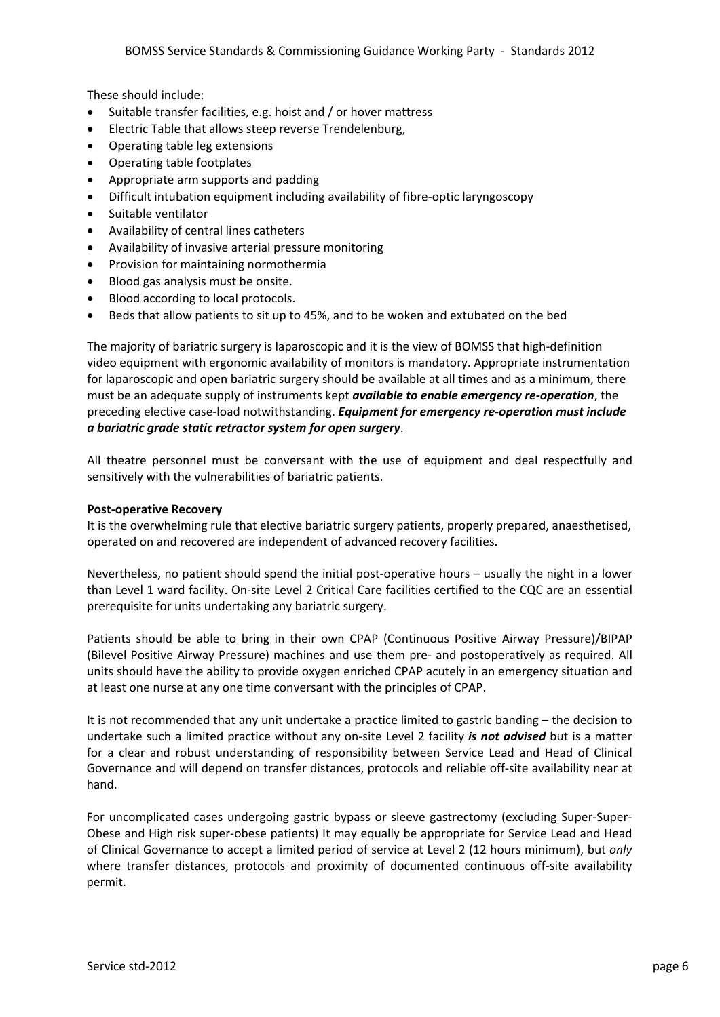These should include:

- Suitable transfer facilities, e.g. hoist and / or hover mattress
- Electric Table that allows steep reverse Trendelenburg,
- Operating table leg extensions
- Operating table footplates
- Appropriate arm supports and padding
- Difficult intubation equipment including availability of fibre‐optic laryngoscopy
- Suitable ventilator
- Availability of central lines catheters
- Availability of invasive arterial pressure monitoring
- Provision for maintaining normothermia
- Blood gas analysis must be onsite.
- Blood according to local protocols.
- Beds that allow patients to sit up to 45%, and to be woken and extubated on the bed

The majority of bariatric surgery is laparoscopic and it is the view of BOMSS that high‐definition video equipment with ergonomic availability of monitors is mandatory. Appropriate instrumentation for laparoscopic and open bariatric surgery should be available at all times and as a minimum, there must be an adequate supply of instruments kept *available to enable emergency re‐operation*, the preceding elective case‐load notwithstanding. *Equipment for emergency re‐operation must include a bariatric grade static retractor system for open surgery*.

All theatre personnel must be conversant with the use of equipment and deal respectfully and sensitively with the vulnerabilities of bariatric patients.

### **Post‐operative Recovery**

It is the overwhelming rule that elective bariatric surgery patients, properly prepared, anaesthetised, operated on and recovered are independent of advanced recovery facilities.

Nevertheless, no patient should spend the initial post‐operative hours – usually the night in a lower than Level 1 ward facility. On-site Level 2 Critical Care facilities certified to the CQC are an essential prerequisite for units undertaking any bariatric surgery.

Patients should be able to bring in their own CPAP (Continuous Positive Airway Pressure)/BIPAP (Bilevel Positive Airway Pressure) machines and use them pre‐ and postoperatively as required. All units should have the ability to provide oxygen enriched CPAP acutely in an emergency situation and at least one nurse at any one time conversant with the principles of CPAP.

It is not recommended that any unit undertake a practice limited to gastric banding – the decision to undertake such a limited practice without any on‐site Level 2 facility *is not advised* but is a matter for a clear and robust understanding of responsibility between Service Lead and Head of Clinical Governance and will depend on transfer distances, protocols and reliable off‐site availability near at hand.

For uncomplicated cases undergoing gastric bypass or sleeve gastrectomy (excluding Super-Super-Obese and High risk super‐obese patients) It may equally be appropriate for Service Lead and Head of Clinical Governance to accept a limited period of service at Level 2 (12 hours minimum), but *only* where transfer distances, protocols and proximity of documented continuous off-site availability permit.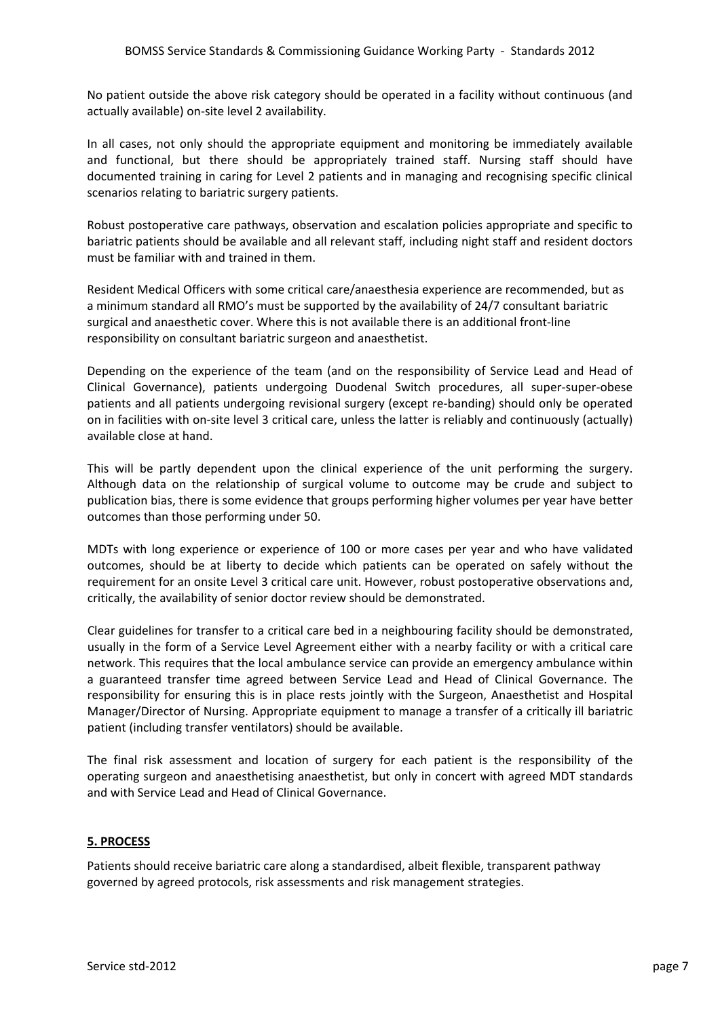No patient outside the above risk category should be operated in a facility without continuous (and actually available) on‐site level 2 availability.

In all cases, not only should the appropriate equipment and monitoring be immediately available and functional, but there should be appropriately trained staff. Nursing staff should have documented training in caring for Level 2 patients and in managing and recognising specific clinical scenarios relating to bariatric surgery patients.

Robust postoperative care pathways, observation and escalation policies appropriate and specific to bariatric patients should be available and all relevant staff, including night staff and resident doctors must be familiar with and trained in them.

Resident Medical Officers with some critical care/anaesthesia experience are recommended, but as a minimum standard all RMO's must be supported by the availability of 24/7 consultant bariatric surgical and anaesthetic cover. Where this is not available there is an additional front‐line responsibility on consultant bariatric surgeon and anaesthetist.

Depending on the experience of the team (and on the responsibility of Service Lead and Head of Clinical Governance), patients undergoing Duodenal Switch procedures, all super‐super‐obese patients and all patients undergoing revisional surgery (except re‐banding) should only be operated on in facilities with on‐site level 3 critical care, unless the latter is reliably and continuously (actually) available close at hand.

This will be partly dependent upon the clinical experience of the unit performing the surgery. Although data on the relationship of surgical volume to outcome may be crude and subject to publication bias, there is some evidence that groups performing higher volumes per year have better outcomes than those performing under 50.

MDTs with long experience or experience of 100 or more cases per year and who have validated outcomes, should be at liberty to decide which patients can be operated on safely without the requirement for an onsite Level 3 critical care unit. However, robust postoperative observations and, critically, the availability of senior doctor review should be demonstrated.

Clear guidelines for transfer to a critical care bed in a neighbouring facility should be demonstrated, usually in the form of a Service Level Agreement either with a nearby facility or with a critical care network. This requires that the local ambulance service can provide an emergency ambulance within a guaranteed transfer time agreed between Service Lead and Head of Clinical Governance. The responsibility for ensuring this is in place rests jointly with the Surgeon, Anaesthetist and Hospital Manager/Director of Nursing. Appropriate equipment to manage a transfer of a critically ill bariatric patient (including transfer ventilators) should be available.

The final risk assessment and location of surgery for each patient is the responsibility of the operating surgeon and anaesthetising anaesthetist, but only in concert with agreed MDT standards and with Service Lead and Head of Clinical Governance.

# **5. PROCESS**

Patients should receive bariatric care along a standardised, albeit flexible, transparent pathway governed by agreed protocols, risk assessments and risk management strategies.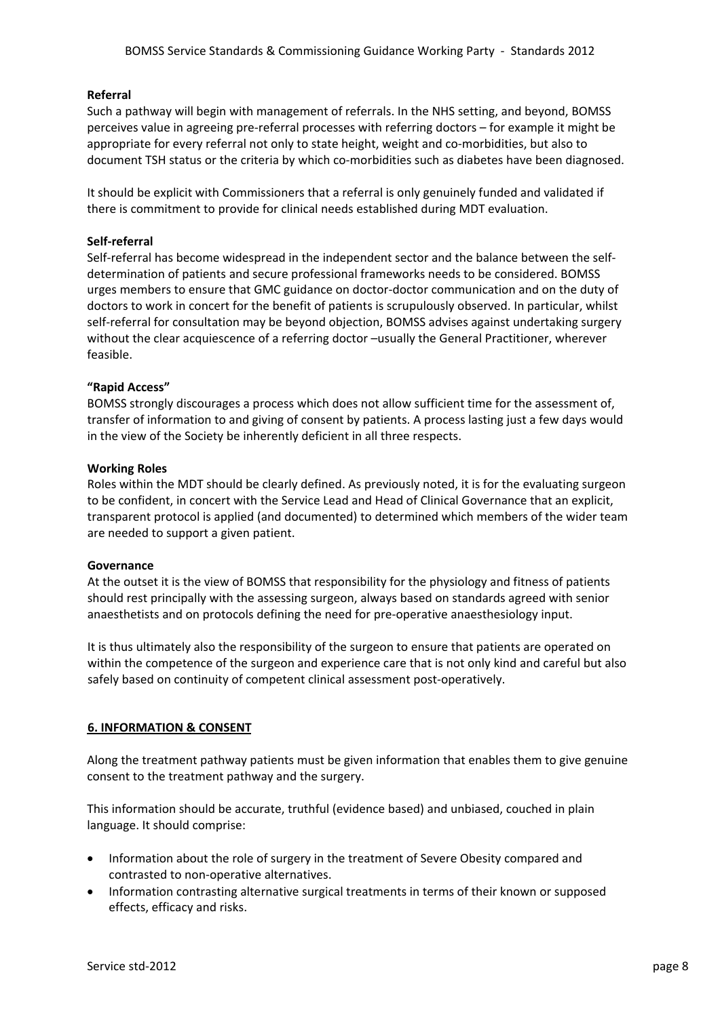## **Referral**

Such a pathway will begin with management of referrals. In the NHS setting, and beyond, BOMSS perceives value in agreeing pre‐referral processes with referring doctors – for example it might be appropriate for every referral not only to state height, weight and co-morbidities, but also to document TSH status or the criteria by which co-morbidities such as diabetes have been diagnosed.

It should be explicit with Commissioners that a referral is only genuinely funded and validated if there is commitment to provide for clinical needs established during MDT evaluation.

## **Self‐referral**

Self-referral has become widespread in the independent sector and the balance between the selfdetermination of patients and secure professional frameworks needs to be considered. BOMSS urges members to ensure that GMC guidance on doctor‐doctor communication and on the duty of doctors to work in concert for the benefit of patients is scrupulously observed. In particular, whilst self-referral for consultation may be beyond objection, BOMSS advises against undertaking surgery without the clear acquiescence of a referring doctor –usually the General Practitioner, wherever feasible.

## **"Rapid Access"**

BOMSS strongly discourages a process which does not allow sufficient time for the assessment of, transfer of information to and giving of consent by patients. A process lasting just a few days would in the view of the Society be inherently deficient in all three respects.

## **Working Roles**

Roles within the MDT should be clearly defined. As previously noted, it is for the evaluating surgeon to be confident, in concert with the Service Lead and Head of Clinical Governance that an explicit, transparent protocol is applied (and documented) to determined which members of the wider team are needed to support a given patient.

## **Governance**

At the outset it is the view of BOMSS that responsibility for the physiology and fitness of patients should rest principally with the assessing surgeon, always based on standards agreed with senior anaesthetists and on protocols defining the need for pre‐operative anaesthesiology input.

It is thus ultimately also the responsibility of the surgeon to ensure that patients are operated on within the competence of the surgeon and experience care that is not only kind and careful but also safely based on continuity of competent clinical assessment post‐operatively.

# **6. INFORMATION & CONSENT**

Along the treatment pathway patients must be given information that enables them to give genuine consent to the treatment pathway and the surgery.

This information should be accurate, truthful (evidence based) and unbiased, couched in plain language. It should comprise:

- Information about the role of surgery in the treatment of Severe Obesity compared and contrasted to non‐operative alternatives.
- Information contrasting alternative surgical treatments in terms of their known or supposed effects, efficacy and risks.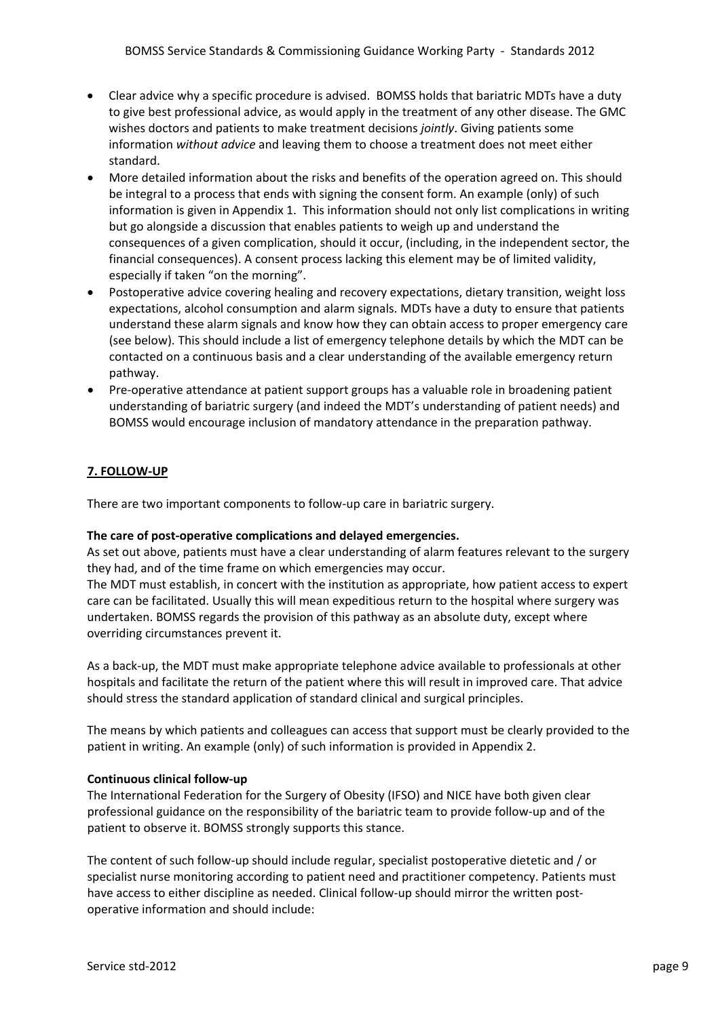- Clear advice why a specific procedure is advised. BOMSS holds that bariatric MDTs have a duty to give best professional advice, as would apply in the treatment of any other disease. The GMC wishes doctors and patients to make treatment decisions *jointly*. Giving patients some information *without advice* and leaving them to choose a treatment does not meet either standard.
- More detailed information about the risks and benefits of the operation agreed on. This should be integral to a process that ends with signing the consent form. An example (only) of such information is given in Appendix 1. This information should not only list complications in writing but go alongside a discussion that enables patients to weigh up and understand the consequences of a given complication, should it occur, (including, in the independent sector, the financial consequences). A consent process lacking this element may be of limited validity, especially if taken "on the morning".
- Postoperative advice covering healing and recovery expectations, dietary transition, weight loss expectations, alcohol consumption and alarm signals. MDTs have a duty to ensure that patients understand these alarm signals and know how they can obtain access to proper emergency care (see below). This should include a list of emergency telephone details by which the MDT can be contacted on a continuous basis and a clear understanding of the available emergency return pathway.
- Pre-operative attendance at patient support groups has a valuable role in broadening patient understanding of bariatric surgery (and indeed the MDT's understanding of patient needs) and BOMSS would encourage inclusion of mandatory attendance in the preparation pathway.

# **7. FOLLOW‐UP**

There are two important components to follow‐up care in bariatric surgery.

## **The care of post‐operative complications and delayed emergencies.**

As set out above, patients must have a clear understanding of alarm features relevant to the surgery they had, and of the time frame on which emergencies may occur.

The MDT must establish, in concert with the institution as appropriate, how patient access to expert care can be facilitated. Usually this will mean expeditious return to the hospital where surgery was undertaken. BOMSS regards the provision of this pathway as an absolute duty, except where overriding circumstances prevent it.

As a back‐up, the MDT must make appropriate telephone advice available to professionals at other hospitals and facilitate the return of the patient where this will result in improved care. That advice should stress the standard application of standard clinical and surgical principles.

The means by which patients and colleagues can access that support must be clearly provided to the patient in writing. An example (only) of such information is provided in Appendix 2.

## **Continuous clinical follow‐up**

The International Federation for the Surgery of Obesity (IFSO) and NICE have both given clear professional guidance on the responsibility of the bariatric team to provide follow‐up and of the patient to observe it. BOMSS strongly supports this stance.

The content of such follow‐up should include regular, specialist postoperative dietetic and / or specialist nurse monitoring according to patient need and practitioner competency. Patients must have access to either discipline as needed. Clinical follow-up should mirror the written postoperative information and should include: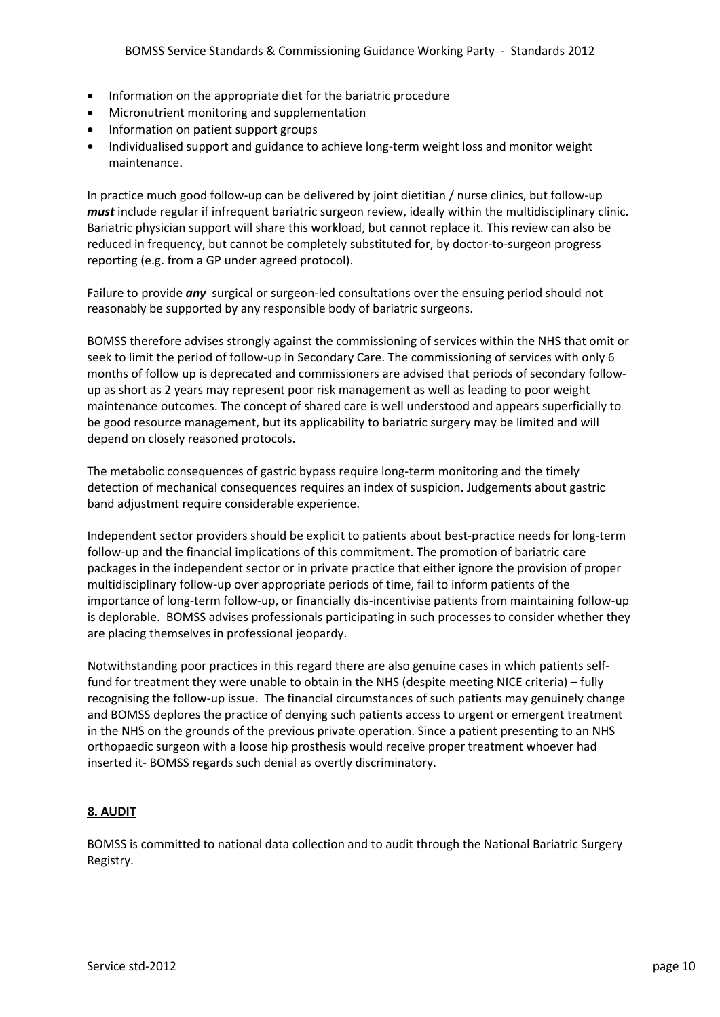- Information on the appropriate diet for the bariatric procedure
- Micronutrient monitoring and supplementation
- Information on patient support groups
- Individualised support and guidance to achieve long-term weight loss and monitor weight maintenance.

In practice much good follow‐up can be delivered by joint dietitian / nurse clinics, but follow‐up *must* include regular if infrequent bariatric surgeon review, ideally within the multidisciplinary clinic. Bariatric physician support will share this workload, but cannot replace it. This review can also be reduced in frequency, but cannot be completely substituted for, by doctor‐to‐surgeon progress reporting (e.g. from a GP under agreed protocol).

Failure to provide *any* surgical or surgeon-led consultations over the ensuing period should not reasonably be supported by any responsible body of bariatric surgeons.

BOMSS therefore advises strongly against the commissioning of services within the NHS that omit or seek to limit the period of follow-up in Secondary Care. The commissioning of services with only 6 months of follow up is deprecated and commissioners are advised that periods of secondary follow‐ up as short as 2 years may represent poor risk management as well as leading to poor weight maintenance outcomes. The concept of shared care is well understood and appears superficially to be good resource management, but its applicability to bariatric surgery may be limited and will depend on closely reasoned protocols.

The metabolic consequences of gastric bypass require long‐term monitoring and the timely detection of mechanical consequences requires an index of suspicion. Judgements about gastric band adjustment require considerable experience.

Independent sector providers should be explicit to patients about best‐practice needs for long‐term follow‐up and the financial implications of this commitment. The promotion of bariatric care packages in the independent sector or in private practice that either ignore the provision of proper multidisciplinary follow‐up over appropriate periods of time, fail to inform patients of the importance of long-term follow-up, or financially dis-incentivise patients from maintaining follow-up is deplorable. BOMSS advises professionals participating in such processes to consider whether they are placing themselves in professional jeopardy.

Notwithstanding poor practices in this regard there are also genuine cases in which patients self‐ fund for treatment they were unable to obtain in the NHS (despite meeting NICE criteria) – fully recognising the follow‐up issue. The financial circumstances of such patients may genuinely change and BOMSS deplores the practice of denying such patients access to urgent or emergent treatment in the NHS on the grounds of the previous private operation. Since a patient presenting to an NHS orthopaedic surgeon with a loose hip prosthesis would receive proper treatment whoever had inserted it‐ BOMSS regards such denial as overtly discriminatory.

# **8. AUDIT**

BOMSS is committed to national data collection and to audit through the National Bariatric Surgery Registry.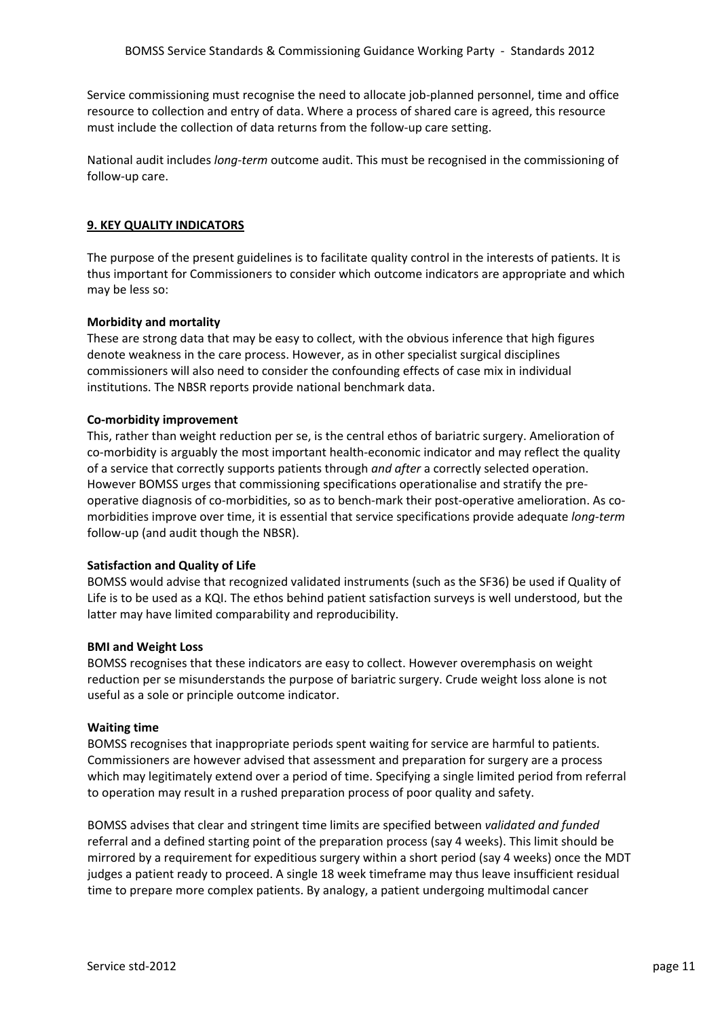Service commissioning must recognise the need to allocate job-planned personnel, time and office resource to collection and entry of data. Where a process of shared care is agreed, this resource must include the collection of data returns from the follow-up care setting.

National audit includes *long‐term* outcome audit. This must be recognised in the commissioning of follow‐up care.

## **9. KEY QUALITY INDICATORS**

The purpose of the present guidelines is to facilitate quality control in the interests of patients. It is thus important for Commissioners to consider which outcome indicators are appropriate and which may be less so:

## **Morbidity and mortality**

These are strong data that may be easy to collect, with the obvious inference that high figures denote weakness in the care process. However, as in other specialist surgical disciplines commissioners will also need to consider the confounding effects of case mix in individual institutions. The NBSR reports provide national benchmark data.

## **Co‐morbidity improvement**

This, rather than weight reduction per se, is the central ethos of bariatric surgery. Amelioration of co-morbidity is arguably the most important health-economic indicator and may reflect the quality of a service that correctly supports patients through *and after* a correctly selected operation. However BOMSS urges that commissioning specifications operationalise and stratify the pre‐ operative diagnosis of co‐morbidities, so as to bench‐mark their post‐operative amelioration. As co‐ morbidities improve over time, it is essential that service specifications provide adequate *long‐term* follow‐up (and audit though the NBSR).

## **Satisfaction and Quality of Life**

BOMSS would advise that recognized validated instruments (such as the SF36) be used if Quality of Life is to be used as a KQI. The ethos behind patient satisfaction surveys is well understood, but the latter may have limited comparability and reproducibility.

### **BMI and Weight Loss**

BOMSS recognises that these indicators are easy to collect. However overemphasis on weight reduction per se misunderstands the purpose of bariatric surgery. Crude weight loss alone is not useful as a sole or principle outcome indicator.

### **Waiting time**

BOMSS recognises that inappropriate periods spent waiting for service are harmful to patients. Commissioners are however advised that assessment and preparation for surgery are a process which may legitimately extend over a period of time. Specifying a single limited period from referral to operation may result in a rushed preparation process of poor quality and safety.

BOMSS advises that clear and stringent time limits are specified between *validated and funded* referral and a defined starting point of the preparation process (say 4 weeks). This limit should be mirrored by a requirement for expeditious surgery within a short period (say 4 weeks) once the MDT judges a patient ready to proceed. A single 18 week timeframe may thus leave insufficient residual time to prepare more complex patients. By analogy, a patient undergoing multimodal cancer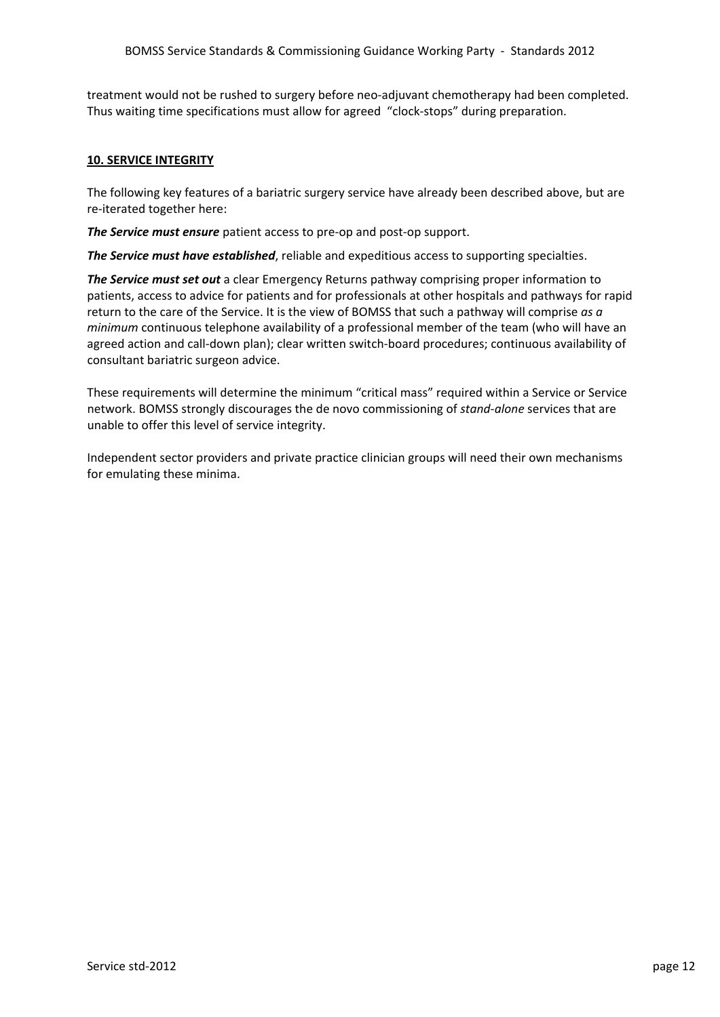treatment would not be rushed to surgery before neo‐adjuvant chemotherapy had been completed. Thus waiting time specifications must allow for agreed "clock‐stops" during preparation.

## **10. SERVICE INTEGRITY**

The following key features of a bariatric surgery service have already been described above, but are re‐iterated together here:

*The Service must ensure* patient access to pre‐op and post‐op support.

*The Service must have established*, reliable and expeditious access to supporting specialties.

*The Service must set out* a clear Emergency Returns pathway comprising proper information to patients, access to advice for patients and for professionals at other hospitals and pathways for rapid return to the care of the Service. It is the view of BOMSS that such a pathway will comprise *as a minimum* continuous telephone availability of a professional member of the team (who will have an agreed action and call‐down plan); clear written switch‐board procedures; continuous availability of consultant bariatric surgeon advice.

These requirements will determine the minimum "critical mass" required within a Service or Service network. BOMSS strongly discourages the de novo commissioning of *stand‐alone* services that are unable to offer this level of service integrity.

Independent sector providers and private practice clinician groups will need their own mechanisms for emulating these minima.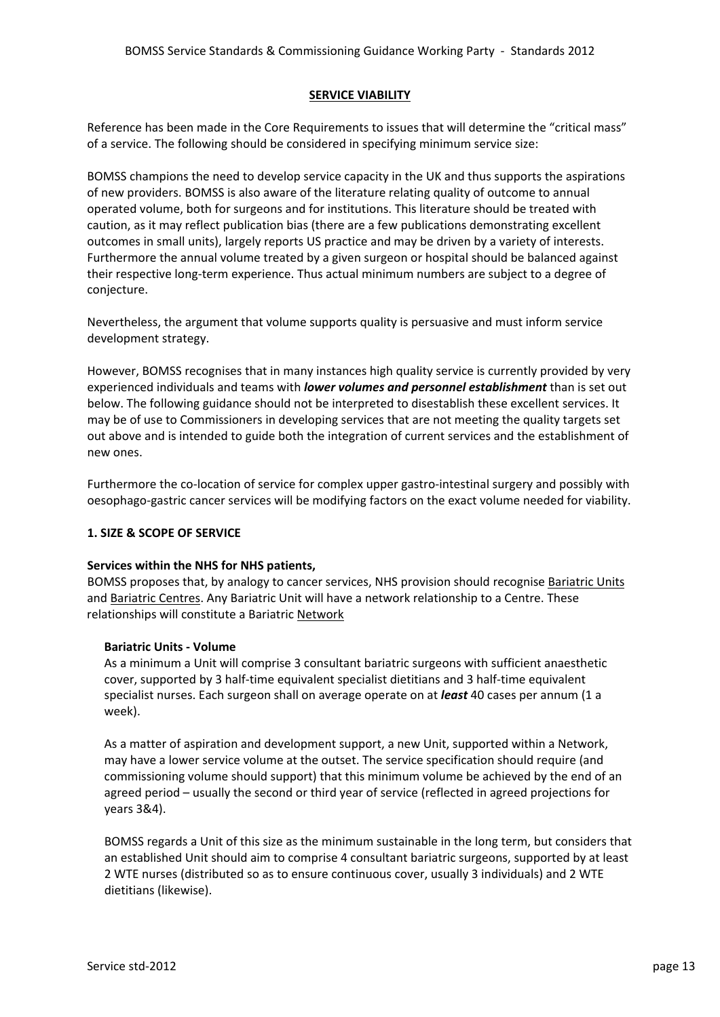## **SERVICE VIABILITY**

Reference has been made in the Core Requirements to issues that will determine the "critical mass" of a service. The following should be considered in specifying minimum service size:

BOMSS champions the need to develop service capacity in the UK and thus supports the aspirations of new providers. BOMSS is also aware of the literature relating quality of outcome to annual operated volume, both for surgeons and for institutions. This literature should be treated with caution, as it may reflect publication bias (there are a few publications demonstrating excellent outcomes in small units), largely reports US practice and may be driven by a variety of interests. Furthermore the annual volume treated by a given surgeon or hospital should be balanced against their respective long‐term experience. Thus actual minimum numbers are subject to a degree of conjecture.

Nevertheless, the argument that volume supports quality is persuasive and must inform service development strategy.

However, BOMSS recognises that in many instances high quality service is currently provided by very experienced individuals and teams with *lower volumes and personnel establishment* than is set out below. The following guidance should not be interpreted to disestablish these excellent services. It may be of use to Commissioners in developing services that are not meeting the quality targets set out above and is intended to guide both the integration of current services and the establishment of new ones.

Furthermore the co-location of service for complex upper gastro-intestinal surgery and possibly with oesophago‐gastric cancer services will be modifying factors on the exact volume needed for viability.

# **1. SIZE & SCOPE OF SERVICE**

## **Services within the NHS for NHS patients,**

BOMSS proposes that, by analogy to cancer services, NHS provision should recognise Bariatric Units and Bariatric Centres. Any Bariatric Unit will have a network relationship to a Centre. These relationships will constitute a Bariatric Network

## **Bariatric Units ‐ Volume**

As a minimum a Unit will comprise 3 consultant bariatric surgeons with sufficient anaesthetic cover, supported by 3 half‐time equivalent specialist dietitians and 3 half‐time equivalent specialist nurses. Each surgeon shall on average operate on at *least* 40 cases per annum (1 a week).

As a matter of aspiration and development support, a new Unit, supported within a Network, may have a lower service volume at the outset. The service specification should require (and commissioning volume should support) that this minimum volume be achieved by the end of an agreed period – usually the second or third year of service (reflected in agreed projections for years 3&4).

BOMSS regards a Unit of this size as the minimum sustainable in the long term, but considers that an established Unit should aim to comprise 4 consultant bariatric surgeons, supported by at least 2 WTE nurses (distributed so as to ensure continuous cover, usually 3 individuals) and 2 WTE dietitians (likewise).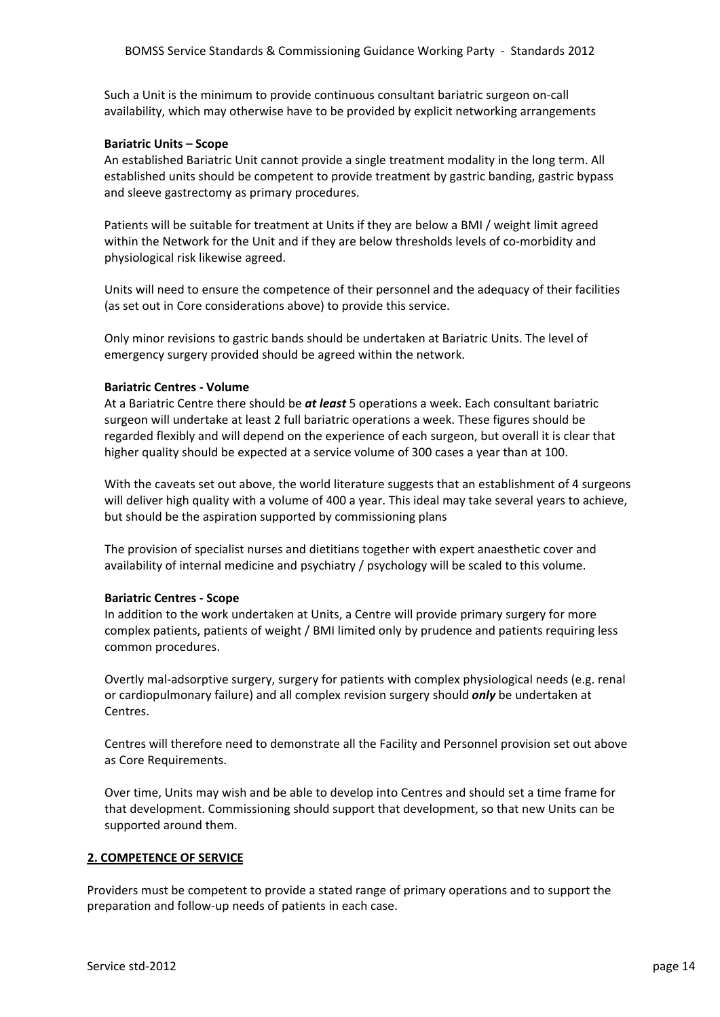Such a Unit is the minimum to provide continuous consultant bariatric surgeon on‐call availability, which may otherwise have to be provided by explicit networking arrangements

## **Bariatric Units – Scope**

An established Bariatric Unit cannot provide a single treatment modality in the long term. All established units should be competent to provide treatment by gastric banding, gastric bypass and sleeve gastrectomy as primary procedures.

Patients will be suitable for treatment at Units if they are below a BMI / weight limit agreed within the Network for the Unit and if they are below thresholds levels of co-morbidity and physiological risk likewise agreed.

Units will need to ensure the competence of their personnel and the adequacy of their facilities (as set out in Core considerations above) to provide this service.

Only minor revisions to gastric bands should be undertaken at Bariatric Units. The level of emergency surgery provided should be agreed within the network.

### **Bariatric Centres ‐ Volume**

At a Bariatric Centre there should be *at least* 5 operations a week. Each consultant bariatric surgeon will undertake at least 2 full bariatric operations a week. These figures should be regarded flexibly and will depend on the experience of each surgeon, but overall it is clear that higher quality should be expected at a service volume of 300 cases a year than at 100.

With the caveats set out above, the world literature suggests that an establishment of 4 surgeons will deliver high quality with a volume of 400 a year. This ideal may take several years to achieve, but should be the aspiration supported by commissioning plans

The provision of specialist nurses and dietitians together with expert anaesthetic cover and availability of internal medicine and psychiatry / psychology will be scaled to this volume.

### **Bariatric Centres ‐ Scope**

In addition to the work undertaken at Units, a Centre will provide primary surgery for more complex patients, patients of weight / BMI limited only by prudence and patients requiring less common procedures.

Overtly mal‐adsorptive surgery, surgery for patients with complex physiological needs (e.g. renal or cardiopulmonary failure) and all complex revision surgery should *only* be undertaken at Centres.

Centres will therefore need to demonstrate all the Facility and Personnel provision set out above as Core Requirements.

Over time, Units may wish and be able to develop into Centres and should set a time frame for that development. Commissioning should support that development, so that new Units can be supported around them.

## **2. COMPETENCE OF SERVICE**

Providers must be competent to provide a stated range of primary operations and to support the preparation and follow‐up needs of patients in each case.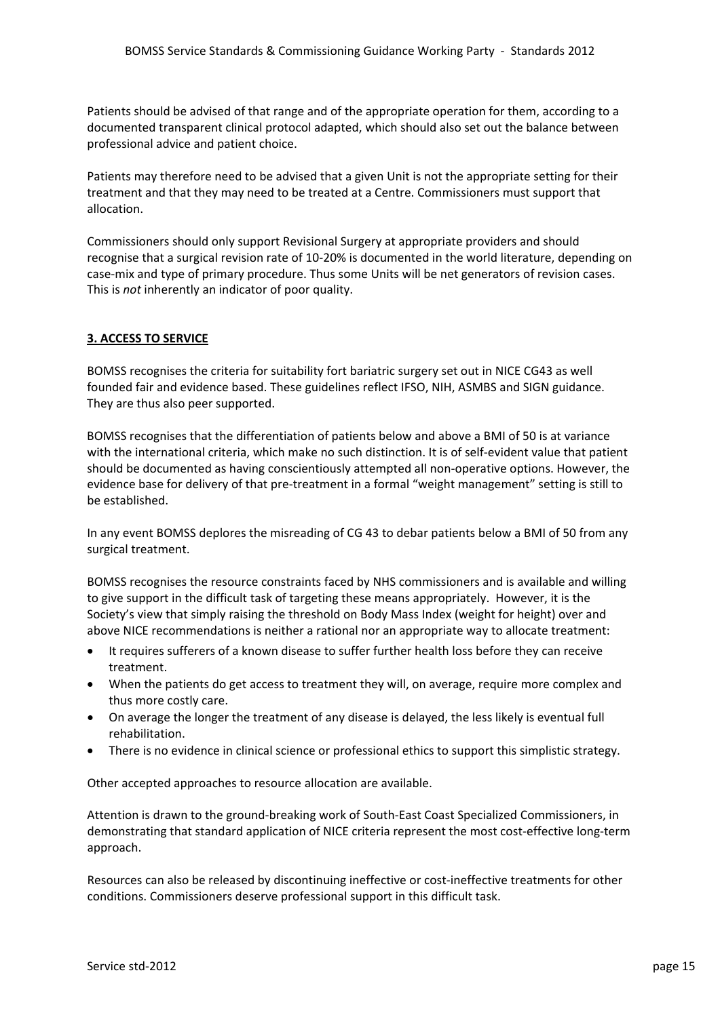Patients should be advised of that range and of the appropriate operation for them, according to a documented transparent clinical protocol adapted, which should also set out the balance between professional advice and patient choice.

Patients may therefore need to be advised that a given Unit is not the appropriate setting for their treatment and that they may need to be treated at a Centre. Commissioners must support that allocation.

Commissioners should only support Revisional Surgery at appropriate providers and should recognise that a surgical revision rate of 10‐20% is documented in the world literature, depending on case‐mix and type of primary procedure. Thus some Units will be net generators of revision cases. This is *not* inherently an indicator of poor quality.

# **3. ACCESS TO SERVICE**

BOMSS recognises the criteria for suitability fort bariatric surgery set out in NICE CG43 as well founded fair and evidence based. These guidelines reflect IFSO, NIH, ASMBS and SIGN guidance. They are thus also peer supported.

BOMSS recognises that the differentiation of patients below and above a BMI of 50 is at variance with the international criteria, which make no such distinction. It is of self‐evident value that patient should be documented as having conscientiously attempted all non‐operative options. However, the evidence base for delivery of that pre-treatment in a formal "weight management" setting is still to be established.

In any event BOMSS deplores the misreading of CG 43 to debar patients below a BMI of 50 from any surgical treatment.

BOMSS recognises the resource constraints faced by NHS commissioners and is available and willing to give support in the difficult task of targeting these means appropriately. However, it is the Society's view that simply raising the threshold on Body Mass Index (weight for height) over and above NICE recommendations is neither a rational nor an appropriate way to allocate treatment:

- It requires sufferers of a known disease to suffer further health loss before they can receive treatment.
- When the patients do get access to treatment they will, on average, require more complex and thus more costly care.
- On average the longer the treatment of any disease is delayed, the less likely is eventual full rehabilitation.
- There is no evidence in clinical science or professional ethics to support this simplistic strategy.

Other accepted approaches to resource allocation are available.

Attention is drawn to the ground‐breaking work of South‐East Coast Specialized Commissioners, in demonstrating that standard application of NICE criteria represent the most cost-effective long-term approach.

Resources can also be released by discontinuing ineffective or cost-ineffective treatments for other conditions. Commissioners deserve professional support in this difficult task.